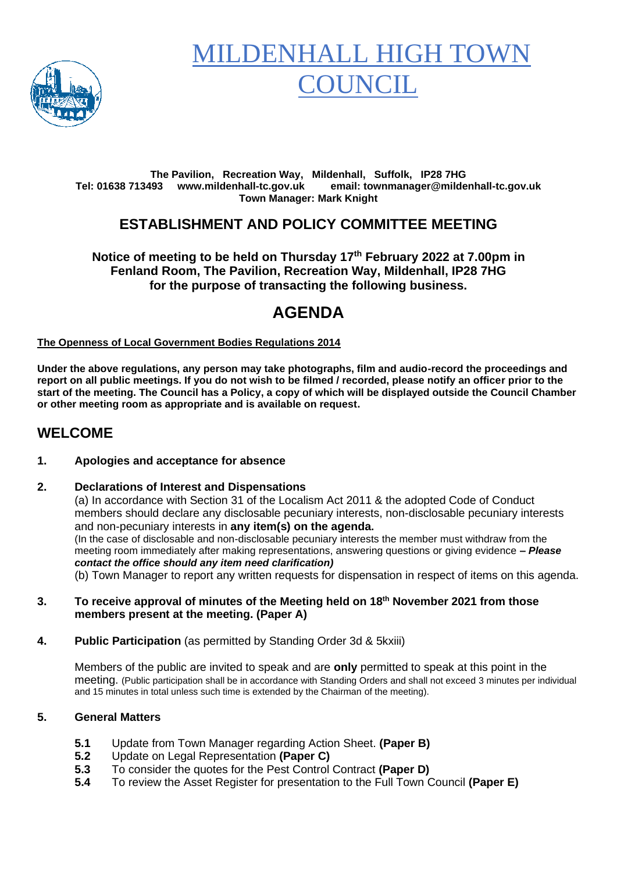

# **IILDENHALL HIGH TO OUNCIL**

#### **The Pavilion, Recreation Way, Mildenhall, Suffolk, IP28 7HG Tel: 01638 713493 www.mildenhall-tc.gov.uk email: townmanager@mildenhall-tc.gov.uk Town Manager: Mark Knight**

## **ESTABLISHMENT AND POLICY COMMITTEE MEETING**

**Notice of meeting to be held on Thursday 17 th February 2022 at 7.00pm in Fenland Room, The Pavilion, Recreation Way, Mildenhall, IP28 7HG for the purpose of transacting the following business.**

## **AGENDA**

**The Openness of Local Government Bodies Regulations 2014**

**Under the above regulations, any person may take photographs, film and audio-record the proceedings and report on all public meetings. If you do not wish to be filmed / recorded, please notify an officer prior to the start of the meeting. The Council has a Policy, a copy of which will be displayed outside the Council Chamber or other meeting room as appropriate and is available on request.**

### **WELCOME**

#### **1. Apologies and acceptance for absence**

#### **2. Declarations of Interest and Dispensations**

(a) In accordance with Section 31 of the Localism Act 2011 & the adopted Code of Conduct members should declare any disclosable pecuniary interests, non-disclosable pecuniary interests and non-pecuniary interests in **any item(s) on the agenda.** (In the case of disclosable and non-disclosable pecuniary interests the member must withdraw from the meeting room immediately after making representations, answering questions or giving evidence **–** *Please contact the office should any item need clarification)*

(b) Town Manager to report any written requests for dispensation in respect of items on this agenda.

- **3. To receive approval of minutes of the Meeting held on 18 th November 2021 from those members present at the meeting. (Paper A)**
- **4. Public Participation** (as permitted by Standing Order 3d & 5kxiii)

Members of the public are invited to speak and are **only** permitted to speak at this point in the meeting. (Public participation shall be in accordance with Standing Orders and shall not exceed 3 minutes per individual and 15 minutes in total unless such time is extended by the Chairman of the meeting).

#### **5. General Matters**

- **5.1** Update from Town Manager regarding Action Sheet. **(Paper B)**
- **5.2** Update on Legal Representation **(Paper C)**
- **5.3** To consider the quotes for the Pest Control Contract **(Paper D)**
- **5.4** To review the Asset Register for presentation to the Full Town Council **(Paper E)**